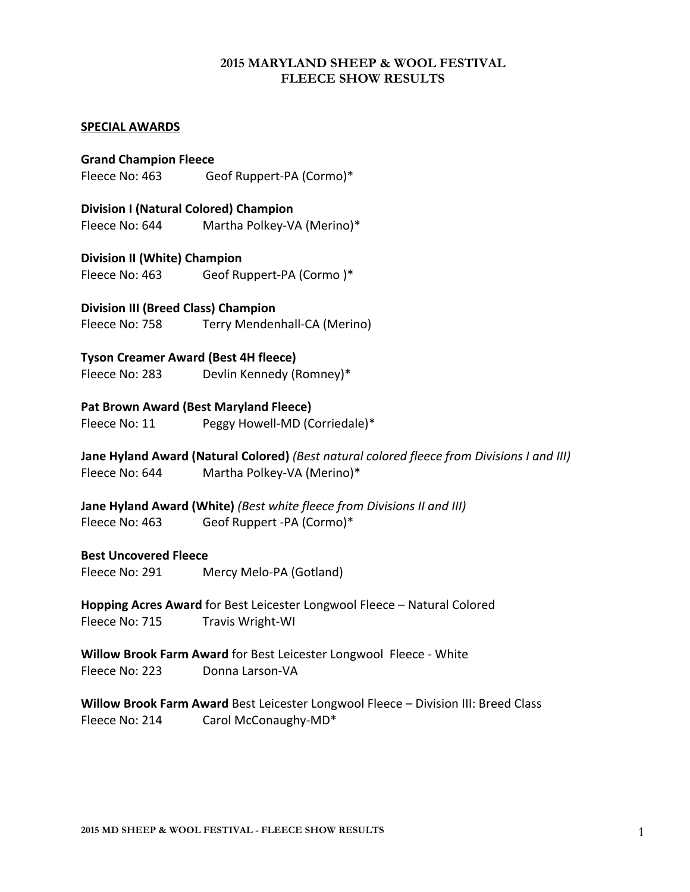## **2015 MARYLAND SHEEP & WOOL FESTIVAL FLEECE SHOW RESULTS**

## **SPECIAL AWARDS**

**Grand Champion Fleece** Fleece No: 463 Geof Ruppert-PA (Cormo)\*

**Division I (Natural Colored) Champion** Fleece No: 644 Martha Polkey-VA (Merino)\*

## **Division II (White) Champion**

Fleece No: 463 Geof Ruppert-PA (Cormo)\*

**Division III (Breed Class) Champion** Fleece No: 758 Terry Mendenhall-CA (Merino)

## **Tyson Creamer Award (Best 4H fleece)**

Fleece No: 283 Devlin Kennedy (Romney)\*

## **Pat Brown Award (Best Maryland Fleece)**

Fleece No: 11 Peggy Howell-MD (Corriedale)\*

**Jane Hyland Award (Natural Colored)** *(Best natural colored fleece from Divisions I and III)* Fleece No: 644 Martha Polkey-VA (Merino)\*

**Jane Hyland Award (White)** (Best white fleece from Divisions II and III) Fleece No: 463 Geof Ruppert -PA (Cormo)\*

#### **Best Uncovered Fleece**

Fleece No: 291 Mercy Melo-PA (Gotland)

**Hopping Acres Award** for Best Leicester Longwool Fleece – Natural Colored Fleece No: 715 Travis Wright-WI

**Willow Brook Farm Award** for Best Leicester Longwool Fleece - White Fleece No: 223 Donna Larson-VA

**Willow Brook Farm Award** Best Leicester Longwool Fleece – Division III: Breed Class Fleece No: 214 Carol McConaughy-MD\*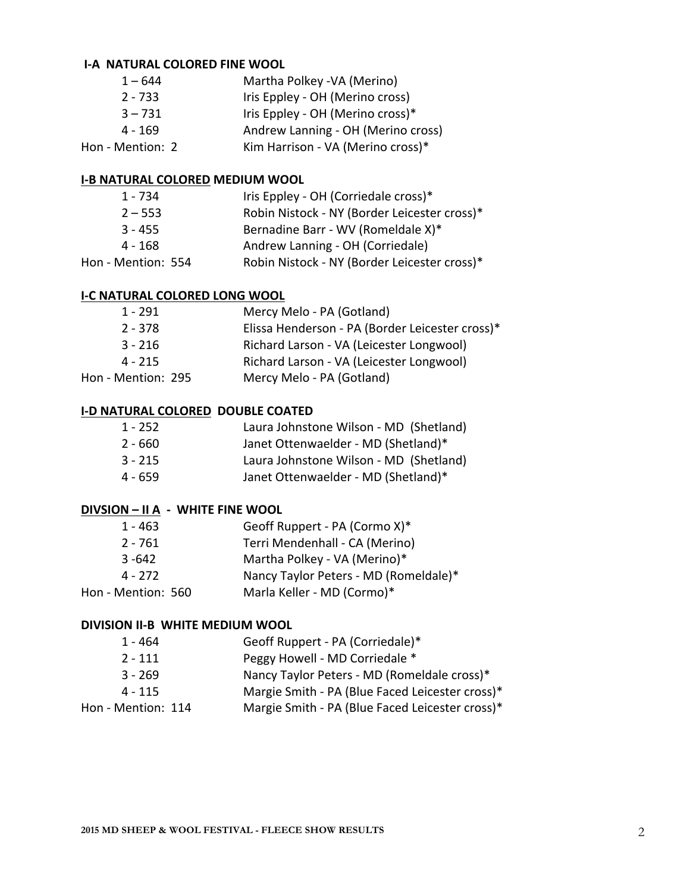## **I-A NATURAL COLORED FINE WOOL**

| $1 - 644$        | Martha Polkey - VA (Merino)        |
|------------------|------------------------------------|
| $2 - 733$        | Iris Eppley - OH (Merino cross)    |
| $3 - 731$        | Iris Eppley - OH (Merino cross)*   |
| $4 - 169$        | Andrew Lanning - OH (Merino cross) |
| Hon - Mention: 2 | Kim Harrison - VA (Merino cross)*  |

## **I-B NATURAL COLORED MEDIUM WOOL**

| 1 - 734            | Iris Eppley - OH (Corriedale cross)*         |
|--------------------|----------------------------------------------|
| $2 - 553$          | Robin Nistock - NY (Border Leicester cross)* |
| $3 - 455$          | Bernadine Barr - WV (Romeldale X)*           |
| $4 - 168$          | Andrew Lanning - OH (Corriedale)             |
| Hon - Mention: 554 | Robin Nistock - NY (Border Leicester cross)* |
|                    |                                              |

#### **I-C NATURAL COLORED LONG WOOL**

| 1 - 291            | Mercy Melo - PA (Gotland)                       |
|--------------------|-------------------------------------------------|
| $2 - 378$          | Elissa Henderson - PA (Border Leicester cross)* |
| $3 - 216$          | Richard Larson - VA (Leicester Longwool)        |
| $4 - 215$          | Richard Larson - VA (Leicester Longwool)        |
| Hon - Mention: 295 | Mercy Melo - PA (Gotland)                       |

#### **I-D NATURAL COLORED DOUBLE COATED**

| Laura Johnstone Wilson - MD (Shetland)<br>1 - 252 |  |  |
|---------------------------------------------------|--|--|
|---------------------------------------------------|--|--|

- 2 660 Janet Ottenwaelder MD (Shetland)\*<br>3 215 Laura Johnstone Wilson MD (Shetla
- Laura Johnstone Wilson MD (Shetland)
- 4 659 Janet Ottenwaelder MD (Shetland)\*

## **DIVSION – II A** - WHITE FINE WOOL

| $1 - 463$          | Geoff Ruppert - PA (Cormo X)*         |
|--------------------|---------------------------------------|
| $2 - 761$          | Terri Mendenhall - CA (Merino)        |
| $3 - 642$          | Martha Polkey - VA (Merino)*          |
| 4 - 272            | Nancy Taylor Peters - MD (Romeldale)* |
| Hon - Mention: 560 | Marla Keller - MD (Cormo)*            |

#### **DIVISION II-B WHITE MEDIUM WOOL**

| 1 - 464            | Geoff Ruppert - PA (Corriedale)*                |
|--------------------|-------------------------------------------------|
| $2 - 111$          | Peggy Howell - MD Corriedale *                  |
| $3 - 269$          | Nancy Taylor Peters - MD (Romeldale cross)*     |
| $4 - 115$          | Margie Smith - PA (Blue Faced Leicester cross)* |
| Hon - Mention: 114 | Margie Smith - PA (Blue Faced Leicester cross)* |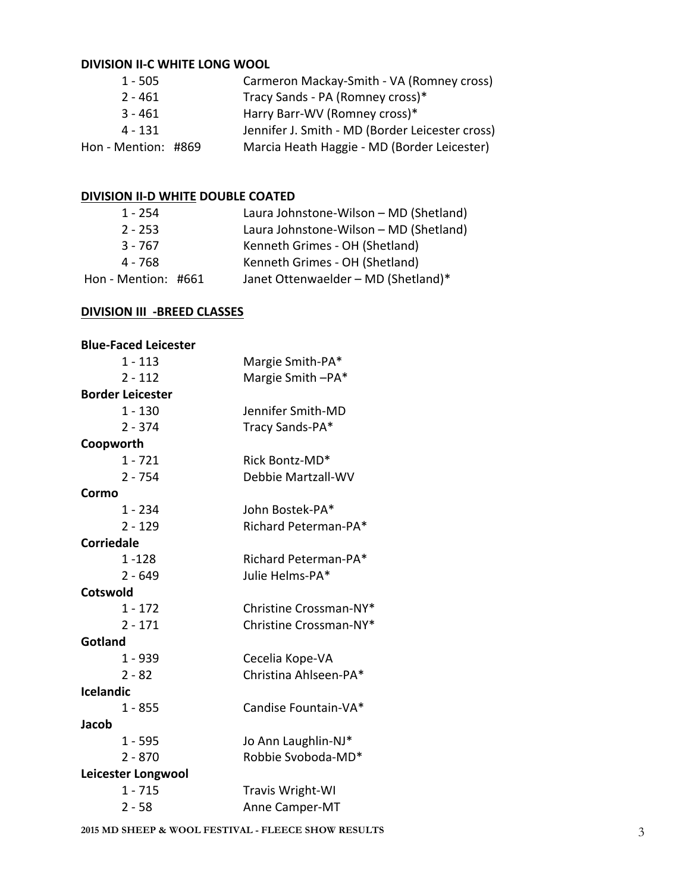# **DIVISION II-C WHITE LONG WOOL**

| $1 - 505$           | Carmeron Mackay-Smith - VA (Romney cross)       |
|---------------------|-------------------------------------------------|
| $2 - 461$           | Tracy Sands - PA (Romney cross)*                |
| $3 - 461$           | Harry Barr-WV (Romney cross)*                   |
| 4 - 131             | Jennifer J. Smith - MD (Border Leicester cross) |
| Hon - Mention: #869 | Marcia Heath Haggie - MD (Border Leicester)     |

# **DIVISION II-D WHITE DOUBLE COATED**

| $1 - 254$           | Laura Johnstone-Wilson - MD (Shetland) |
|---------------------|----------------------------------------|
| $2 - 253$           | Laura Johnstone-Wilson - MD (Shetland) |
| $3 - 767$           | Kenneth Grimes - OH (Shetland)         |
| 4 - 768             | Kenneth Grimes - OH (Shetland)         |
| Hon - Mention: #661 | Janet Ottenwaelder - MD (Shetland)*    |

# **DIVISION III -BREED CLASSES**

| <b>Blue-Faced Leicester</b> |                        |
|-----------------------------|------------------------|
| $1 - 113$                   | Margie Smith-PA*       |
| $2 - 112$                   | Margie Smith-PA*       |
| <b>Border Leicester</b>     |                        |
| $1 - 130$                   | Jennifer Smith-MD      |
| $2 - 374$                   | Tracy Sands-PA*        |
| Coopworth                   |                        |
| $1 - 721$                   | Rick Bontz-MD*         |
| $2 - 754$                   | Debbie Martzall-WV     |
| Cormo                       |                        |
| 1 - 234                     | John Bostek-PA*        |
| $2 - 129$                   | Richard Peterman-PA*   |
| <b>Corriedale</b>           |                        |
| $1 - 128$                   | Richard Peterman-PA*   |
| $2 - 649$                   | Julie Helms-PA*        |
| <b>Cotswold</b>             |                        |
| $1 - 172$                   | Christine Crossman-NY* |
| $2 - 171$                   | Christine Crossman-NY* |
| Gotland                     |                        |
| $1 - 939$                   | Cecelia Kope-VA        |
| $2 - 82$                    | Christina Ahlseen-PA*  |
| <b>Icelandic</b>            |                        |
| $1 - 855$                   | Candise Fountain-VA*   |
| <b>Jacob</b>                |                        |
| $1 - 595$                   | Jo Ann Laughlin-NJ*    |
| $2 - 870$                   | Robbie Svoboda-MD*     |
| Leicester Longwool          |                        |
| $1 - 715$                   | Travis Wright-WI       |
| $2 - 58$                    | Anne Camper-MT         |